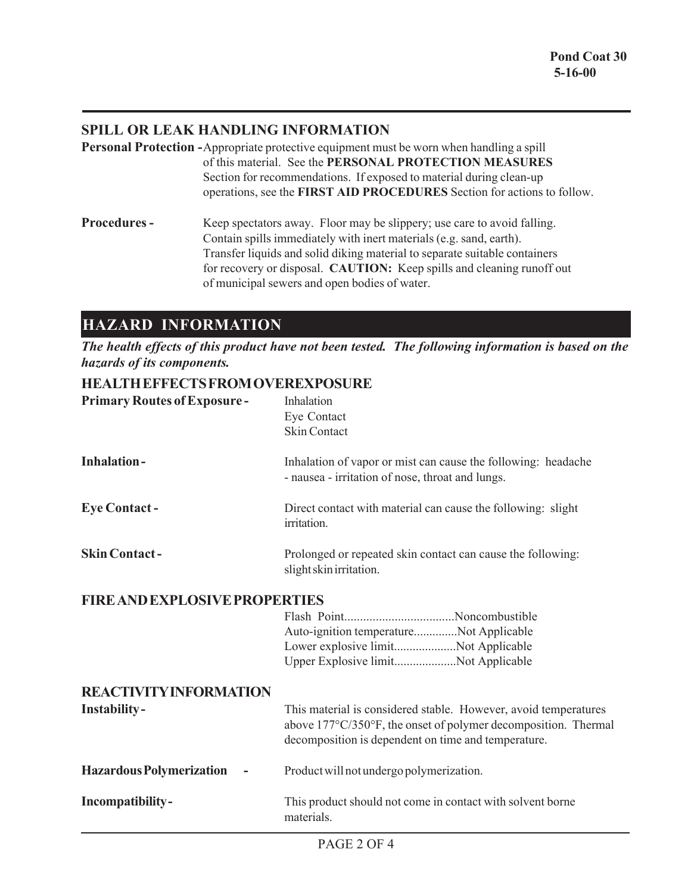## **SPILL OR LEAK HANDLING INFORMATION**

- **Personal Protection -**Appropriate protective equipment must be worn when handling a spill of this material. See the **PERSONAL PROTECTION MEASURES** Section for recommendations. If exposed to material during clean-up operations, see the **FIRST AID PROCEDURES** Section for actions to follow.
- **Procedures -** Keep spectators away. Floor may be slippery; use care to avoid falling. Contain spills immediately with inert materials (e.g. sand, earth). Transfer liquids and solid diking material to separate suitable containers for recovery or disposal. **CAUTION:** Keep spills and cleaning runoff out of municipal sewers and open bodies of water.

# **HAZARD INFORMATION**

*The health effects of this product have not been tested. The following information is based on the hazards of its components.*

### **HEALTH EFFECTS FROM OVEREXPOSURE**

| <b>Primary Routes of Exposure-</b>   | Inhalation<br>Eye Contact<br><b>Skin Contact</b>                                                                                                                                         |  |
|--------------------------------------|------------------------------------------------------------------------------------------------------------------------------------------------------------------------------------------|--|
| <b>Inhalation-</b>                   | Inhalation of vapor or mist can cause the following: headache<br>- nausea - irritation of nose, throat and lungs.                                                                        |  |
| <b>Eye Contact -</b>                 | Direct contact with material can cause the following: slight<br>irritation.                                                                                                              |  |
| <b>Skin Contact-</b>                 | Prolonged or repeated skin contact can cause the following:<br>slight skin irritation.                                                                                                   |  |
| <b>FIRE AND EXPLOSIVE PROPERTIES</b> |                                                                                                                                                                                          |  |
|                                      | Auto-ignition temperatureNot Applicable<br>Lower explosive limitNot Applicable<br>Upper Explosive limitNot Applicable                                                                    |  |
| <b>REACTIVITY INFORMATION</b>        |                                                                                                                                                                                          |  |
| <b>Instability-</b>                  | This material is considered stable. However, avoid temperatures<br>above 177°C/350°F, the onset of polymer decomposition. Thermal<br>decomposition is dependent on time and temperature. |  |
| <b>Hazardous Polymerization</b>      | Product will not undergo polymerization.                                                                                                                                                 |  |
| Incompatibility-                     | This product should not come in contact with solvent borne<br>materials.                                                                                                                 |  |
|                                      |                                                                                                                                                                                          |  |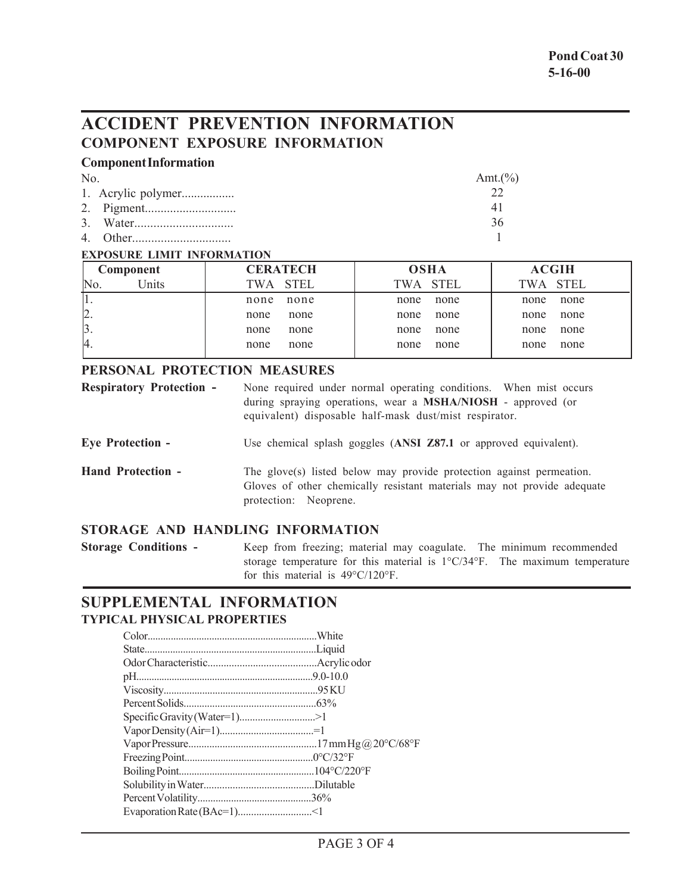# **ACCIDENT PREVENTION INFORMATION COMPONENT EXPOSURE INFORMATION**

### **Component Information**

| No. |  | Amt. $(\%)$ |
|-----|--|-------------|
|     |  |             |
|     |  | 41          |
|     |  | -36         |
|     |  |             |

#### **EXPOSURE LIMIT INFORMATION**

| <b>CERATECH</b> | <b>OSHA</b> | <b>ACGIH</b> |
|-----------------|-------------|--------------|
| TWA STEL        | TWA STEL    | TWA STEL     |
| none            | none        | none         |
| none            | none        | none         |
| none            | none        | none         |
| none            | none        | none         |
| none            | none        | none         |
| none            | none        | none         |
| none            | none        | none         |
| none            | none        | none         |
|                 |             |              |

#### **PERSONAL PROTECTION MEASURES**

| <b>Respiratory Protection -</b> | None required under normal operating conditions. When mist occurs<br>during spraying operations, wear a MSHA/NIOSH - approved (or<br>equivalent) disposable half-mask dust/mist respirator. |  |
|---------------------------------|---------------------------------------------------------------------------------------------------------------------------------------------------------------------------------------------|--|
| <b>Eye Protection -</b>         | Use chemical splash goggles (ANSI Z87.1 or approved equivalent).                                                                                                                            |  |
| <b>Hand Protection -</b>        | The glove(s) listed below may provide protection against permeation.<br>Gloves of other chemically resistant materials may not provide adequate<br>protection: Neoprene.                    |  |

# **STORAGE AND HANDLING INFORMATION**

**Storage Conditions -** Keep from freezing; material may coagulate. The minimum recommended storage temperature for this material is 1°C/34°F. The maximum temperature for this material is 49°C/120°F.

## **SUPPLEMENTAL INFORMATION TYPICAL PHYSICAL PROPERTIES**